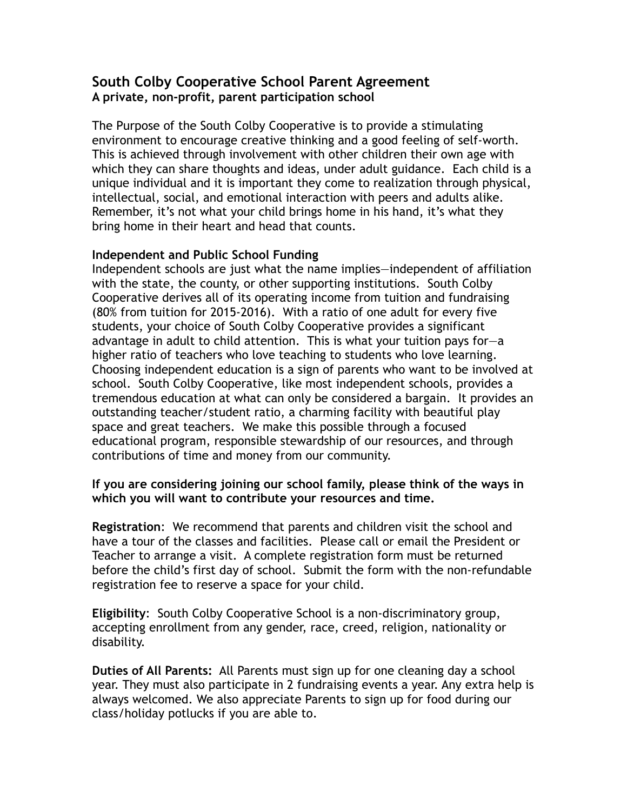## **South Colby Cooperative School Parent Agreement A private, non-profit, parent participation school**

The Purpose of the South Colby Cooperative is to provide a stimulating environment to encourage creative thinking and a good feeling of self-worth. This is achieved through involvement with other children their own age with which they can share thoughts and ideas, under adult guidance. Each child is a unique individual and it is important they come to realization through physical, intellectual, social, and emotional interaction with peers and adults alike. Remember, it's not what your child brings home in his hand, it's what they bring home in their heart and head that counts.

## **Independent and Public School Funding**

Independent schools are just what the name implies—independent of affiliation with the state, the county, or other supporting institutions. South Colby Cooperative derives all of its operating income from tuition and fundraising (80% from tuition for 2015-2016). With a ratio of one adult for every five students, your choice of South Colby Cooperative provides a significant advantage in adult to child attention. This is what your tuition pays for—a higher ratio of teachers who love teaching to students who love learning. Choosing independent education is a sign of parents who want to be involved at school. South Colby Cooperative, like most independent schools, provides a tremendous education at what can only be considered a bargain. It provides an outstanding teacher/student ratio, a charming facility with beautiful play space and great teachers. We make this possible through a focused educational program, responsible stewardship of our resources, and through contributions of time and money from our community.

## **If you are considering joining our school family, please think of the ways in which you will want to contribute your resources and time.**

**Registration**: We recommend that parents and children visit the school and have a tour of the classes and facilities. Please call or email the President or Teacher to arrange a visit. A complete registration form must be returned before the child's first day of school. Submit the form with the non-refundable registration fee to reserve a space for your child.

**Eligibility**: South Colby Cooperative School is a non-discriminatory group, accepting enrollment from any gender, race, creed, religion, nationality or disability.

**Duties of All Parents:** All Parents must sign up for one cleaning day a school year. They must also participate in 2 fundraising events a year. Any extra help is always welcomed. We also appreciate Parents to sign up for food during our class/holiday potlucks if you are able to.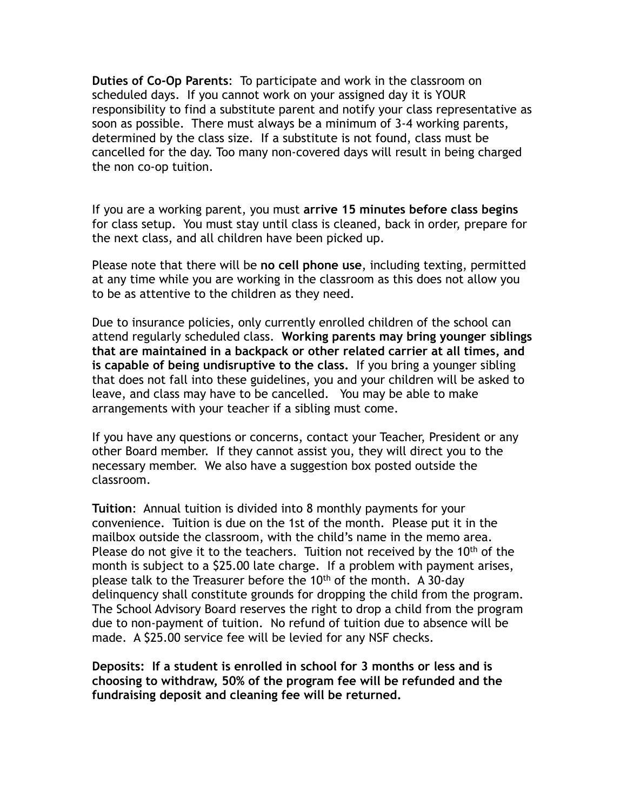**Duties of Co-Op Parents**: To participate and work in the classroom on scheduled days. If you cannot work on your assigned day it is YOUR responsibility to find a substitute parent and notify your class representative as soon as possible. There must always be a minimum of 3-4 working parents, determined by the class size. If a substitute is not found, class must be cancelled for the day. Too many non-covered days will result in being charged the non co-op tuition.

If you are a working parent, you must **arrive 15 minutes before class begins** for class setup. You must stay until class is cleaned, back in order, prepare for the next class, and all children have been picked up.

Please note that there will be **no cell phone use**, including texting, permitted at any time while you are working in the classroom as this does not allow you to be as attentive to the children as they need.

Due to insurance policies, only currently enrolled children of the school can attend regularly scheduled class. **Working parents may bring younger siblings that are maintained in a backpack or other related carrier at all times, and is capable of being undisruptive to the class.** If you bring a younger sibling that does not fall into these guidelines, you and your children will be asked to leave, and class may have to be cancelled. You may be able to make arrangements with your teacher if a sibling must come.

If you have any questions or concerns, contact your Teacher, President or any other Board member. If they cannot assist you, they will direct you to the necessary member. We also have a suggestion box posted outside the classroom.

**Tuition**: Annual tuition is divided into 8 monthly payments for your convenience. Tuition is due on the 1st of the month. Please put it in the mailbox outside the classroom, with the child's name in the memo area. Please do not give it to the teachers. Tuition not received by the  $10<sup>th</sup>$  of the month is subject to a \$25.00 late charge. If a problem with payment arises, please talk to the Treasurer before the 10<sup>th</sup> of the month. A 30-day delinquency shall constitute grounds for dropping the child from the program. The School Advisory Board reserves the right to drop a child from the program due to non-payment of tuition. No refund of tuition due to absence will be made. A \$25.00 service fee will be levied for any NSF checks.

**Deposits: If a student is enrolled in school for 3 months or less and is choosing to withdraw, 50% of the program fee will be refunded and the fundraising deposit and cleaning fee will be returned.**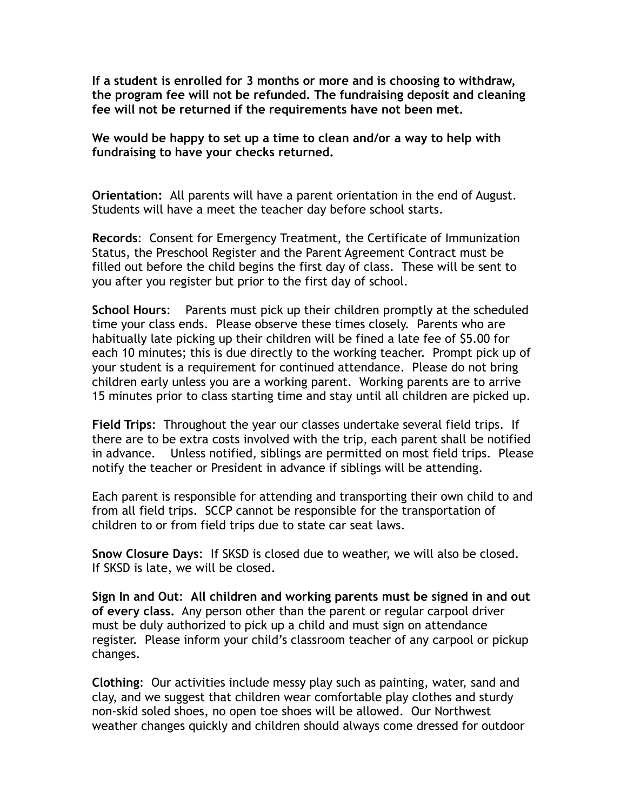**If a student is enrolled for 3 months or more and is choosing to withdraw, the program fee will not be refunded. The fundraising deposit and cleaning fee will not be returned if the requirements have not been met.** 

**We would be happy to set up a time to clean and/or a way to help with fundraising to have your checks returned.** 

**Orientation:** All parents will have a parent orientation in the end of August. Students will have a meet the teacher day before school starts.

**Records**: Consent for Emergency Treatment, the Certificate of Immunization Status, the Preschool Register and the Parent Agreement Contract must be filled out before the child begins the first day of class. These will be sent to you after you register but prior to the first day of school.

**School Hours**: Parents must pick up their children promptly at the scheduled time your class ends. Please observe these times closely. Parents who are habitually late picking up their children will be fined a late fee of \$5.00 for each 10 minutes; this is due directly to the working teacher. Prompt pick up of your student is a requirement for continued attendance. Please do not bring children early unless you are a working parent. Working parents are to arrive 15 minutes prior to class starting time and stay until all children are picked up.

**Field Trips**: Throughout the year our classes undertake several field trips. If there are to be extra costs involved with the trip, each parent shall be notified in advance. Unless notified, siblings are permitted on most field trips. Please notify the teacher or President in advance if siblings will be attending.

Each parent is responsible for attending and transporting their own child to and from all field trips. SCCP cannot be responsible for the transportation of children to or from field trips due to state car seat laws.

**Snow Closure Days**: If SKSD is closed due to weather, we will also be closed. If SKSD is late, we will be closed.

**Sign In and Out**: **All children and working parents must be signed in and out of every class.** Any person other than the parent or regular carpool driver must be duly authorized to pick up a child and must sign on attendance register. Please inform your child's classroom teacher of any carpool or pickup changes.

**Clothing**: Our activities include messy play such as painting, water, sand and clay, and we suggest that children wear comfortable play clothes and sturdy non-skid soled shoes, no open toe shoes will be allowed. Our Northwest weather changes quickly and children should always come dressed for outdoor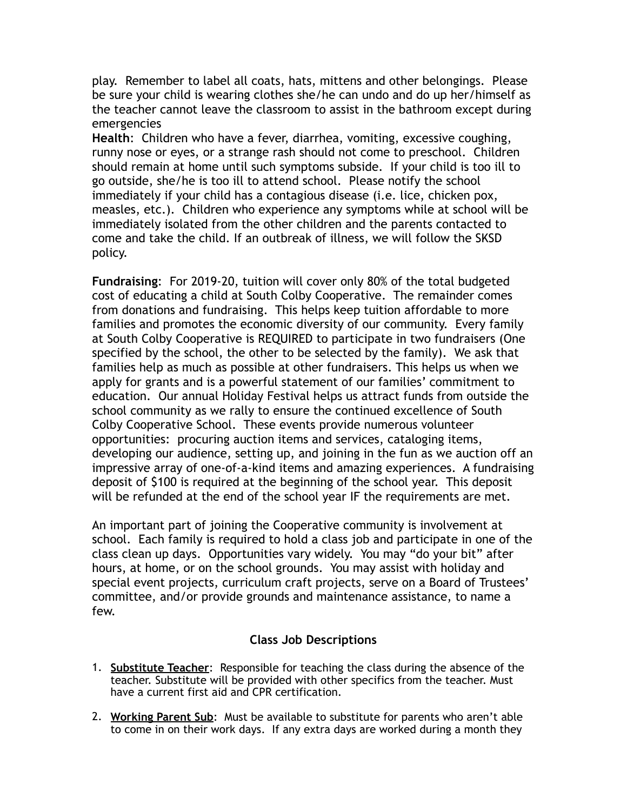play. Remember to label all coats, hats, mittens and other belongings. Please be sure your child is wearing clothes she/he can undo and do up her/himself as the teacher cannot leave the classroom to assist in the bathroom except during emergencies

**Health**: Children who have a fever, diarrhea, vomiting, excessive coughing, runny nose or eyes, or a strange rash should not come to preschool. Children should remain at home until such symptoms subside. If your child is too ill to go outside, she/he is too ill to attend school. Please notify the school immediately if your child has a contagious disease (i.e. lice, chicken pox, measles, etc.). Children who experience any symptoms while at school will be immediately isolated from the other children and the parents contacted to come and take the child. If an outbreak of illness, we will follow the SKSD policy.

**Fundraising**: For 2019-20, tuition will cover only 80% of the total budgeted cost of educating a child at South Colby Cooperative. The remainder comes from donations and fundraising. This helps keep tuition affordable to more families and promotes the economic diversity of our community. Every family at South Colby Cooperative is REQUIRED to participate in two fundraisers (One specified by the school, the other to be selected by the family). We ask that families help as much as possible at other fundraisers. This helps us when we apply for grants and is a powerful statement of our families' commitment to education. Our annual Holiday Festival helps us attract funds from outside the school community as we rally to ensure the continued excellence of South Colby Cooperative School. These events provide numerous volunteer opportunities: procuring auction items and services, cataloging items, developing our audience, setting up, and joining in the fun as we auction off an impressive array of one-of-a-kind items and amazing experiences. A fundraising deposit of \$100 is required at the beginning of the school year. This deposit will be refunded at the end of the school year IF the requirements are met.

An important part of joining the Cooperative community is involvement at school. Each family is required to hold a class job and participate in one of the class clean up days. Opportunities vary widely. You may "do your bit" after hours, at home, or on the school grounds. You may assist with holiday and special event projects, curriculum craft projects, serve on a Board of Trustees' committee, and/or provide grounds and maintenance assistance, to name a few.

## **Class Job Descriptions**

- 1. **Substitute Teacher**: Responsible for teaching the class during the absence of the teacher. Substitute will be provided with other specifics from the teacher. Must have a current first aid and CPR certification.
- 2. **Working Parent Sub**: Must be available to substitute for parents who aren't able to come in on their work days. If any extra days are worked during a month they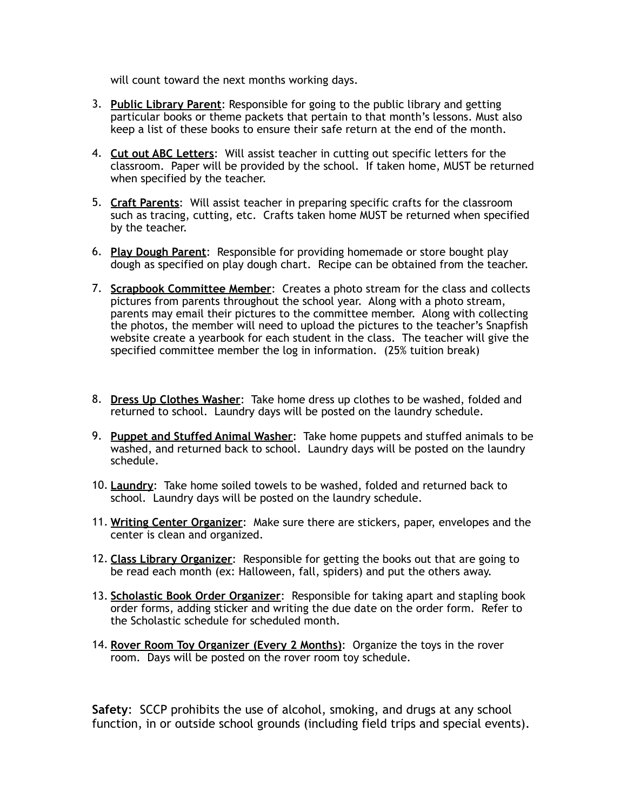will count toward the next months working days.

- 3. **Public Library Parent**: Responsible for going to the public library and getting particular books or theme packets that pertain to that month's lessons. Must also keep a list of these books to ensure their safe return at the end of the month.
- 4. **Cut out ABC Letters**: Will assist teacher in cutting out specific letters for the classroom. Paper will be provided by the school. If taken home, MUST be returned when specified by the teacher.
- 5. **Craft Parents**: Will assist teacher in preparing specific crafts for the classroom such as tracing, cutting, etc. Crafts taken home MUST be returned when specified by the teacher.
- 6. **Play Dough Parent**: Responsible for providing homemade or store bought play dough as specified on play dough chart. Recipe can be obtained from the teacher.
- 7. **Scrapbook Committee Member**: Creates a photo stream for the class and collects pictures from parents throughout the school year. Along with a photo stream, parents may email their pictures to the committee member. Along with collecting the photos, the member will need to upload the pictures to the teacher's Snapfish website create a yearbook for each student in the class. The teacher will give the specified committee member the log in information. (25% tuition break)
- 8. **Dress Up Clothes Washer**: Take home dress up clothes to be washed, folded and returned to school. Laundry days will be posted on the laundry schedule.
- 9. **Puppet and Stuffed Animal Washer**: Take home puppets and stuffed animals to be washed, and returned back to school. Laundry days will be posted on the laundry schedule.
- 10. **Laundry**: Take home soiled towels to be washed, folded and returned back to school. Laundry days will be posted on the laundry schedule.
- 11. **Writing Center Organizer**: Make sure there are stickers, paper, envelopes and the center is clean and organized.
- 12. **Class Library Organizer**: Responsible for getting the books out that are going to be read each month (ex: Halloween, fall, spiders) and put the others away.
- 13. **Scholastic Book Order Organizer**: Responsible for taking apart and stapling book order forms, adding sticker and writing the due date on the order form. Refer to the Scholastic schedule for scheduled month.
- 14. **Rover Room Toy Organizer (Every 2 Months)**: Organize the toys in the rover room. Days will be posted on the rover room toy schedule.

**Safety**: SCCP prohibits the use of alcohol, smoking, and drugs at any school function, in or outside school grounds (including field trips and special events).